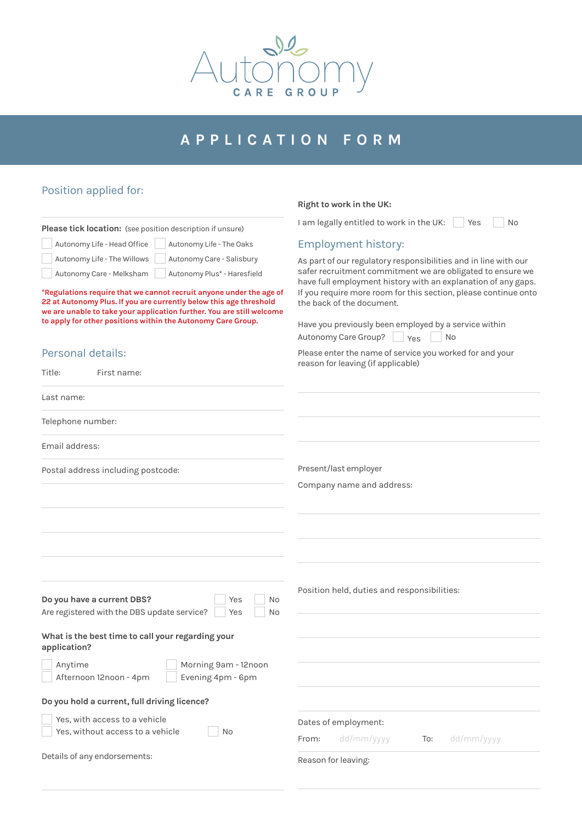

# **APPLICATION FORM**

# Position applied for:

|                                                                                                                                                                                                                                                                                    | Right to work in the UK:                                                                                                                                                                                                                                       |
|------------------------------------------------------------------------------------------------------------------------------------------------------------------------------------------------------------------------------------------------------------------------------------|----------------------------------------------------------------------------------------------------------------------------------------------------------------------------------------------------------------------------------------------------------------|
| Please tick location: (see position description if unsure)                                                                                                                                                                                                                         | I am legally entitled to work in the UK:<br>Yes<br>No                                                                                                                                                                                                          |
| Autonomy Life - Head Office<br>Autonomy Life - The Oaks                                                                                                                                                                                                                            | Employment history:                                                                                                                                                                                                                                            |
| Autonomy Life - The Willows<br>Autonomy Care - Salisbury                                                                                                                                                                                                                           | As part of our regulatory responsibilities and in line with our                                                                                                                                                                                                |
| Autonomy Care - Melksham<br>Autonomy Plus* - Haresfield                                                                                                                                                                                                                            | safer recruitment commitment we are obligated to ensure we                                                                                                                                                                                                     |
| *Regulations require that we cannot recruit anyone under the age of<br>22 at Autonomy Plus. If you are currently below this age threshold<br>we are unable to take your application further. You are still welcome<br>to apply for other positions within the Autonomy Care Group. | have full employment history with an explanation of any gaps.<br>If you require more room for this section, please continue onto<br>the back of the document.<br>Have you previously been employed by a service within<br>Autonomy Care Group?<br>Yes<br>No No |
| Personal details:                                                                                                                                                                                                                                                                  | Please enter the name of service you worked for and your                                                                                                                                                                                                       |
| Title:<br>First name:                                                                                                                                                                                                                                                              | reason for leaving (if applicable)                                                                                                                                                                                                                             |
| Last name:                                                                                                                                                                                                                                                                         |                                                                                                                                                                                                                                                                |
| Telephone number:                                                                                                                                                                                                                                                                  |                                                                                                                                                                                                                                                                |
| Email address:                                                                                                                                                                                                                                                                     |                                                                                                                                                                                                                                                                |
| Postal address including postcode:                                                                                                                                                                                                                                                 | Present/last employer                                                                                                                                                                                                                                          |
|                                                                                                                                                                                                                                                                                    | Company name and address:                                                                                                                                                                                                                                      |
|                                                                                                                                                                                                                                                                                    |                                                                                                                                                                                                                                                                |
| Do you have a current DBS?<br>Yes<br>No                                                                                                                                                                                                                                            | Position held, duties and responsibilities:                                                                                                                                                                                                                    |
| Are registered with the DBS update service?<br>Yes<br>No                                                                                                                                                                                                                           |                                                                                                                                                                                                                                                                |
| What is the best time to call your regarding your<br>application?                                                                                                                                                                                                                  |                                                                                                                                                                                                                                                                |
| Anytime<br>Morning 9am - 12noon<br>Afternoon 12noon - 4pm<br>Evening 4pm - 6pm                                                                                                                                                                                                     |                                                                                                                                                                                                                                                                |
| Do you hold a current, full driving licence?                                                                                                                                                                                                                                       |                                                                                                                                                                                                                                                                |
| Yes, with access to a vehicle                                                                                                                                                                                                                                                      |                                                                                                                                                                                                                                                                |
| Yes, without access to a vehicle<br>No                                                                                                                                                                                                                                             | Dates of employment:                                                                                                                                                                                                                                           |
|                                                                                                                                                                                                                                                                                    | From:<br>dd/mm/yyyy<br>dd/mm/yyyy<br>To:                                                                                                                                                                                                                       |
| Details of any endorsements:                                                                                                                                                                                                                                                       | Reason for leaving:                                                                                                                                                                                                                                            |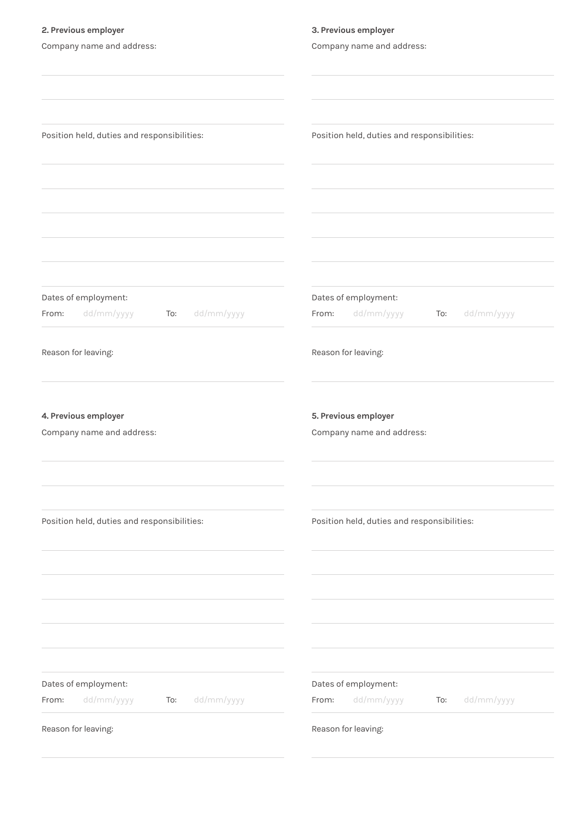| 2. Previous employer                                             | 3. Previous employer                                             |
|------------------------------------------------------------------|------------------------------------------------------------------|
| Company name and address:                                        | Company name and address:                                        |
|                                                                  |                                                                  |
|                                                                  |                                                                  |
|                                                                  |                                                                  |
|                                                                  |                                                                  |
| Position held, duties and responsibilities:                      | Position held, duties and responsibilities:                      |
|                                                                  |                                                                  |
|                                                                  |                                                                  |
|                                                                  |                                                                  |
|                                                                  |                                                                  |
|                                                                  |                                                                  |
|                                                                  |                                                                  |
|                                                                  |                                                                  |
|                                                                  |                                                                  |
| Dates of employment:<br>dd/mm/yyyy<br>dd/mm/yyyy<br>From:<br>To: | Dates of employment:<br>dd/mm/yyyy<br>dd/mm/yyyy<br>From:<br>To: |
|                                                                  |                                                                  |
| Reason for leaving:                                              | Reason for leaving:                                              |
|                                                                  |                                                                  |
|                                                                  |                                                                  |
|                                                                  |                                                                  |
| 4. Previous employer                                             | 5. Previous employer                                             |
| Company name and address:                                        | Company name and address:                                        |
|                                                                  |                                                                  |
|                                                                  |                                                                  |
|                                                                  |                                                                  |
|                                                                  |                                                                  |
| Position held, duties and responsibilities:                      | Position held, duties and responsibilities:                      |
|                                                                  |                                                                  |
|                                                                  |                                                                  |
|                                                                  |                                                                  |
|                                                                  |                                                                  |
|                                                                  |                                                                  |
|                                                                  |                                                                  |
|                                                                  |                                                                  |
| Dates of employment:                                             | Dates of employment:                                             |
| dd/mm/yyyy<br>dd/mm/yyyy<br>To:<br>From:                         | dd/mm/yyyy<br>dd/mm/yyyy<br>From:<br>To:                         |
|                                                                  |                                                                  |
| Reason for leaving:                                              | Reason for leaving:                                              |
|                                                                  |                                                                  |
|                                                                  |                                                                  |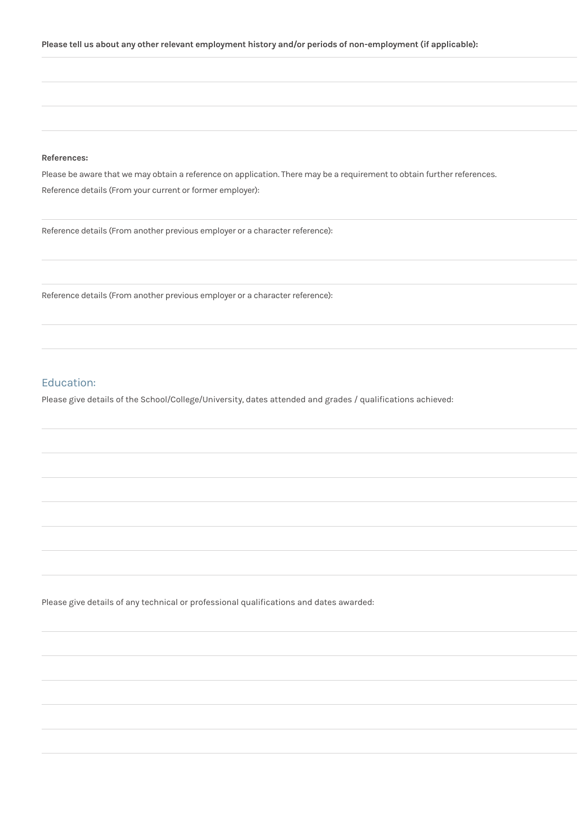#### **References:**

Please be aware that we may obtain a reference on application. There may be a requirement to obtain further references. Reference details (From your current or former employer):

Reference details (From another previous employer or a character reference):

Reference details (From another previous employer or a character reference):

# Education:

Please give details of the School/College/University, dates attended and grades / qualifications achieved:

Please give details of any technical or professional qualifications and dates awarded: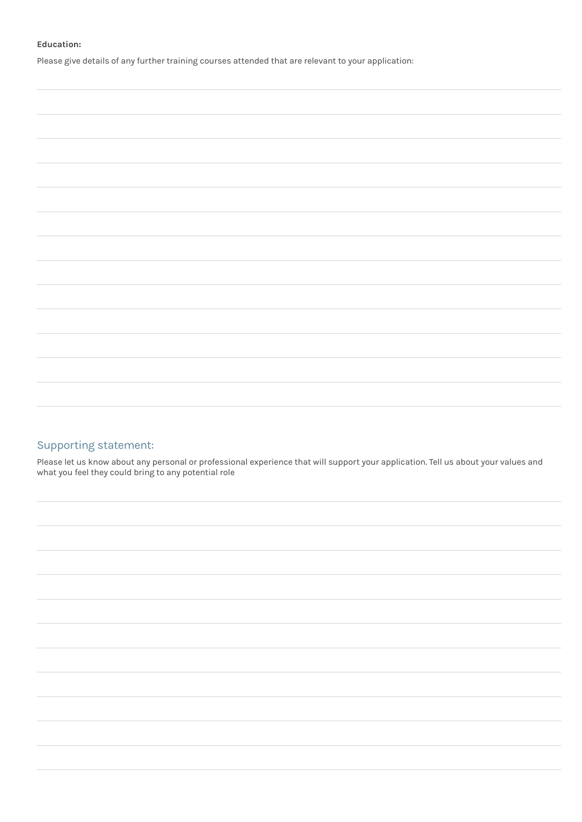#### **Education:**

Please give details of any further training courses attended that are relevant to your application:

# Supporting statement:

Please let us know about any personal or professional experience that will support your application. Tell us about your values and what you feel they could bring to any potential role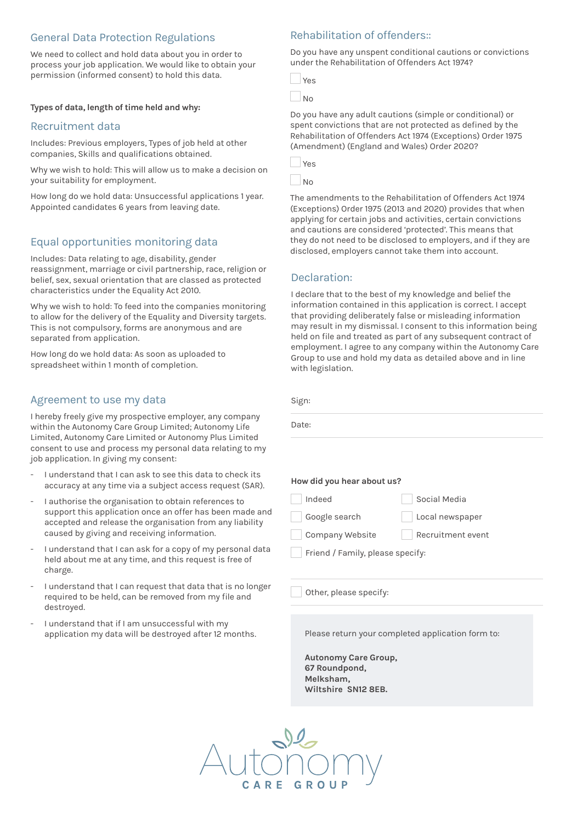# General Data Protection Regulations

We need to collect and hold data about you in order to process your job application. We would like to obtain your permission (informed consent) to hold this data.

#### **Types of data, length of time held and why:**

### Recruitment data

Includes: Previous employers, Types of job held at other companies, Skills and qualifications obtained.

Why we wish to hold: This will allow us to make a decision on your suitability for employment.

How long do we hold data: Unsuccessful applications 1 year. Appointed candidates 6 years from leaving date.

# Equal opportunities monitoring data

Includes: Data relating to age, disability, gender reassignment, marriage or civil partnership, race, religion or belief, sex, sexual orientation that are classed as protected characteristics under the Equality Act 2010.

Why we wish to hold: To feed into the companies monitoring to allow for the delivery of the Equality and Diversity targets. This is not compulsory, forms are anonymous and are separated from application.

How long do we hold data: As soon as uploaded to spreadsheet within 1 month of completion.

### Agreement to use my data

I hereby freely give my prospective employer, any company within the Autonomy Care Group Limited; Autonomy Life Limited, Autonomy Care Limited or Autonomy Plus Limited consent to use and process my personal data relating to my job application. In giving my consent:

- I understand that I can ask to see this data to check its accuracy at any time via a subject access request (SAR).
- I authorise the organisation to obtain references to support this application once an offer has been made and accepted and release the organisation from any liability caused by giving and receiving information.
- I understand that I can ask for a copy of my personal data held about me at any time, and this request is free of charge.
- I understand that I can request that data that is no longer required to be held, can be removed from my file and destroyed.
- I understand that if I am unsuccessful with my application my data will be destroyed after 12 months.

# Rehabilitation of offenders::

Do you have any unspent conditional cautions or convictions under the Rehabilitation of Offenders Act 1974?

| $\sim$<br>$\sim$ |
|------------------|
|                  |

Do you have any adult cautions (simple or conditional) or spent convictions that are not protected as defined by the Rehabilitation of Offenders Act 1974 (Exceptions) Order 1975 (Amendment) (England and Wales) Order 2020?

| ×<br>$-$ |
|----------|
|          |

No

Sign:

 $\overline{D}$ 

The amendments to the Rehabilitation of Offenders Act 1974 (Exceptions) Order 1975 (2013 and 2020) provides that when applying for certain jobs and activities, certain convictions and cautions are considered 'protected'. This means that they do not need to be disclosed to employers, and if they are disclosed, employers cannot take them into account.

### Declaration:

I declare that to the best of my knowledge and belief the information contained in this application is correct. I accept that providing deliberately false or misleading information may result in my dismissal. I consent to this information being held on file and treated as part of any subsequent contract of employment. I agree to any company within the Autonomy Care Group to use and hold my data as detailed above and in line with legislation.

| ign: |  |  |
|------|--|--|
| ate: |  |  |
|      |  |  |

| How did you hear about us? |
|----------------------------|
|----------------------------|

| Indeed          | Social Media      |
|-----------------|-------------------|
| Google search   | Local newspaper   |
| Company Website | Recruitment event |

Friend / Family, please specify:

Other, please specify:

Please return your completed application form to:

**Autonomy Care Group, 67 Roundpond, Melksham, Wiltshire SN12 8EB.**